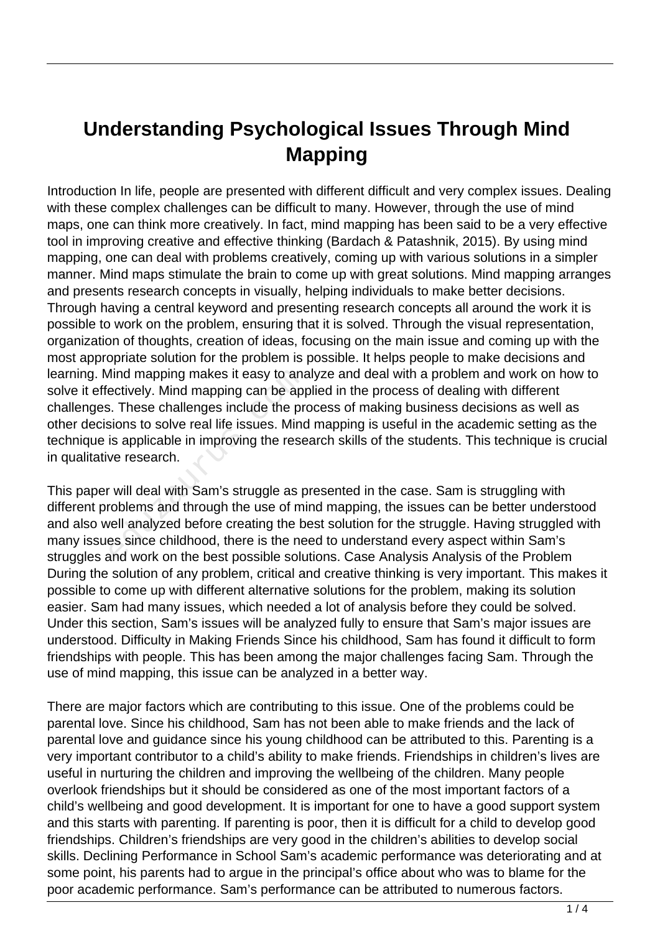## **Understanding Psychological Issues Through Mind Mapping**

Introduction In life, people are presented with different difficult and very complex issues. Dealing with these complex challenges can be difficult to many. However, through the use of mind maps, one can think more creatively. In fact, mind mapping has been said to be a very effective tool in improving creative and effective thinking (Bardach & Patashnik, 2015). By using mind mapping, one can deal with problems creatively, coming up with various solutions in a simpler manner. Mind maps stimulate the brain to come up with great solutions. Mind mapping arranges and presents research concepts in visually, helping individuals to make better decisions. Through having a central keyword and presenting research concepts all around the work it is possible to work on the problem, ensuring that it is solved. Through the visual representation, organization of thoughts, creation of ideas, focusing on the main issue and coming up with the most appropriate solution for the problem is possible. It helps people to make decisions and learning. Mind mapping makes it easy to analyze and deal with a problem and work on how to solve it effectively. Mind mapping can be applied in the process of dealing with different challenges. These challenges include the process of making business decisions as well as other decisions to solve real life issues. Mind mapping is useful in the academic setting as the technique is applicable in improving the research skills of the students. This technique is crucial in qualitative research. Mind mapping makes it easy to ana<br>ectively. Mind mapping can be app<br>i. These challenges include the pr<br>sions to solve real life issues. Mind<br>is applicable in improving the rese<br>ve research.<br>will deal with Sam's struggle as

This paper will deal with Sam's struggle as presented in the case. Sam is struggling with different problems and through the use of mind mapping, the issues can be better understood and also well analyzed before creating the best solution for the struggle. Having struggled with many issues since childhood, there is the need to understand every aspect within Sam's struggles and work on the best possible solutions. Case Analysis Analysis of the Problem During the solution of any problem, critical and creative thinking is very important. This makes it possible to come up with different alternative solutions for the problem, making its solution easier. Sam had many issues, which needed a lot of analysis before they could be solved. Under this section, Sam's issues will be analyzed fully to ensure that Sam's major issues are understood. Difficulty in Making Friends Since his childhood, Sam has found it difficult to form friendships with people. This has been among the major challenges facing Sam. Through the use of mind mapping, this issue can be analyzed in a better way.

There are major factors which are contributing to this issue. One of the problems could be parental love. Since his childhood, Sam has not been able to make friends and the lack of parental love and guidance since his young childhood can be attributed to this. Parenting is a very important contributor to a child's ability to make friends. Friendships in children's lives are useful in nurturing the children and improving the wellbeing of the children. Many people overlook friendships but it should be considered as one of the most important factors of a child's wellbeing and good development. It is important for one to have a good support system and this starts with parenting. If parenting is poor, then it is difficult for a child to develop good friendships. Children's friendships are very good in the children's abilities to develop social skills. Declining Performance in School Sam's academic performance was deteriorating and at some point, his parents had to argue in the principal's office about who was to blame for the poor academic performance. Sam's performance can be attributed to numerous factors.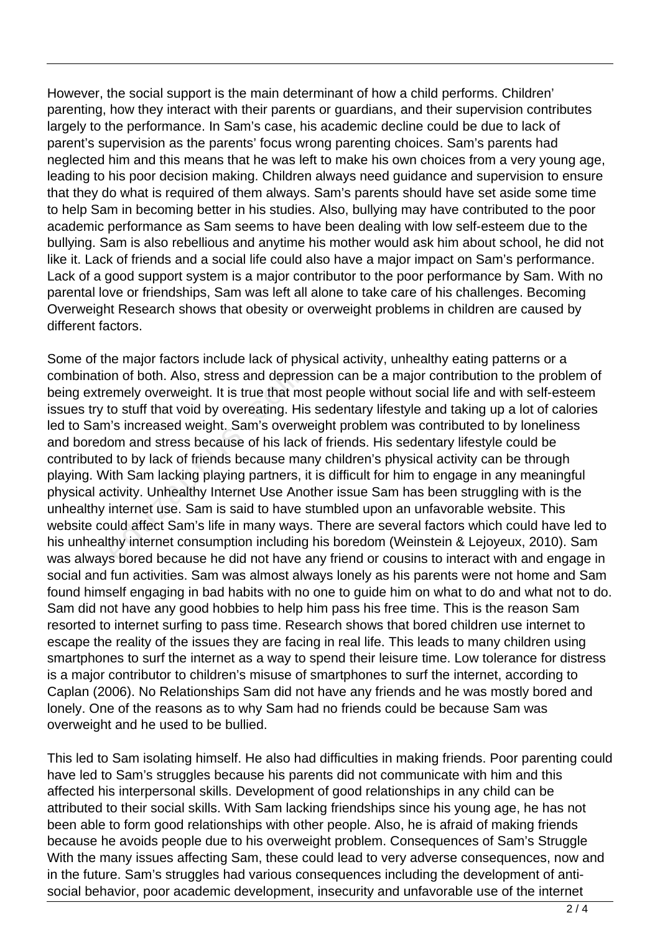However, the social support is the main determinant of how a child performs. Children' parenting, how they interact with their parents or guardians, and their supervision contributes largely to the performance. In Sam's case, his academic decline could be due to lack of parent's supervision as the parents' focus wrong parenting choices. Sam's parents had neglected him and this means that he was left to make his own choices from a very young age, leading to his poor decision making. Children always need guidance and supervision to ensure that they do what is required of them always. Sam's parents should have set aside some time to help Sam in becoming better in his studies. Also, bullying may have contributed to the poor academic performance as Sam seems to have been dealing with low self-esteem due to the bullying. Sam is also rebellious and anytime his mother would ask him about school, he did not like it. Lack of friends and a social life could also have a major impact on Sam's performance. Lack of a good support system is a major contributor to the poor performance by Sam. With no parental love or friendships, Sam was left all alone to take care of his challenges. Becoming Overweight Research shows that obesity or overweight problems in children are caused by different factors.

Some of the major factors include lack of physical activity, unhealthy eating patterns or a combination of both. Also, stress and depression can be a major contribution to the problem of being extremely overweight. It is true that most people without social life and with self-esteem issues try to stuff that void by overeating. His sedentary lifestyle and taking up a lot of calories led to Sam's increased weight. Sam's overweight problem was contributed to by loneliness and boredom and stress because of his lack of friends. His sedentary lifestyle could be contributed to by lack of friends because many children's physical activity can be through playing. With Sam lacking playing partners, it is difficult for him to engage in any meaningful physical activity. Unhealthy Internet Use Another issue Sam has been struggling with is the unhealthy internet use. Sam is said to have stumbled upon an unfavorable website. This website could affect Sam's life in many ways. There are several factors which could have led to his unhealthy internet consumption including his boredom (Weinstein & Lejoyeux, 2010). Sam was always bored because he did not have any friend or cousins to interact with and engage in social and fun activities. Sam was almost always lonely as his parents were not home and Sam found himself engaging in bad habits with no one to guide him on what to do and what not to do. Sam did not have any good hobbies to help him pass his free time. This is the reason Sam resorted to internet surfing to pass time. Research shows that bored children use internet to escape the reality of the issues they are facing in real life. This leads to many children using smartphones to surf the internet as a way to spend their leisure time. Low tolerance for distress is a major contributor to children's misuse of smartphones to surf the internet, according to Caplan (2006). No Relationships Sam did not have any friends and he was mostly bored and lonely. One of the reasons as to why Sam had no friends could be because Sam was overweight and he used to be bullied. on of both. Also, stress and depres<br>emely overweight. It is true that moto stuff that void by overeating. His<br>i's increased weight. Sam's overw<br>om and stress because of his lack<br>of to by lack of friends because ma<br>ith Sam

This led to Sam isolating himself. He also had difficulties in making friends. Poor parenting could have led to Sam's struggles because his parents did not communicate with him and this affected his interpersonal skills. Development of good relationships in any child can be attributed to their social skills. With Sam lacking friendships since his young age, he has not been able to form good relationships with other people. Also, he is afraid of making friends because he avoids people due to his overweight problem. Consequences of Sam's Struggle With the many issues affecting Sam, these could lead to very adverse consequences, now and in the future. Sam's struggles had various consequences including the development of antisocial behavior, poor academic development, insecurity and unfavorable use of the internet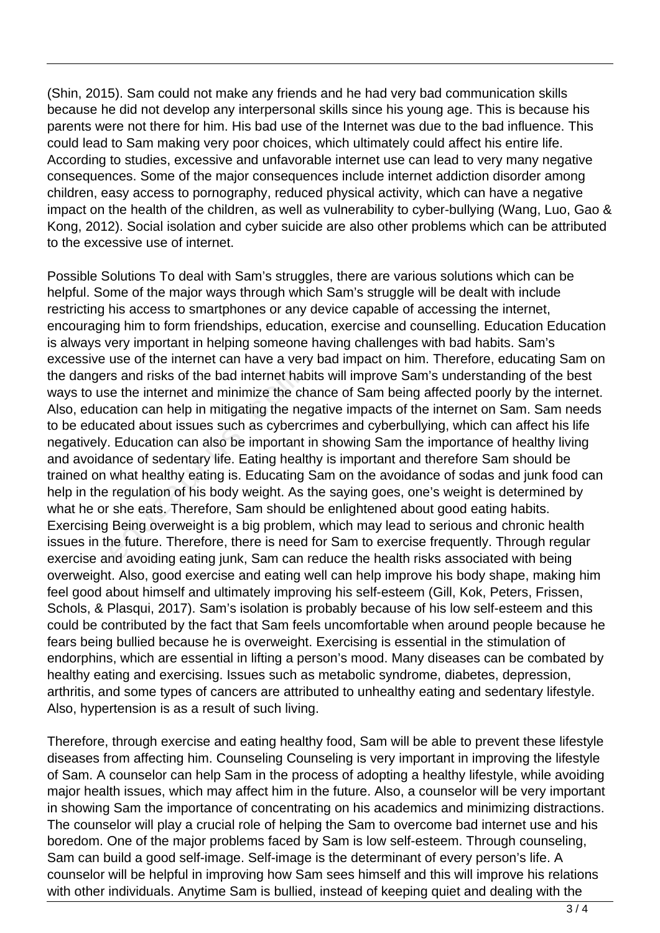(Shin, 2015). Sam could not make any friends and he had very bad communication skills because he did not develop any interpersonal skills since his young age. This is because his parents were not there for him. His bad use of the Internet was due to the bad influence. This could lead to Sam making very poor choices, which ultimately could affect his entire life. According to studies, excessive and unfavorable internet use can lead to very many negative consequences. Some of the major consequences include internet addiction disorder among children, easy access to pornography, reduced physical activity, which can have a negative impact on the health of the children, as well as vulnerability to cyber-bullying (Wang, Luo, Gao & Kong, 2012). Social isolation and cyber suicide are also other problems which can be attributed to the excessive use of internet.

Possible Solutions To deal with Sam's struggles, there are various solutions which can be helpful. Some of the major ways through which Sam's struggle will be dealt with include restricting his access to smartphones or any device capable of accessing the internet, encouraging him to form friendships, education, exercise and counselling. Education Education is always very important in helping someone having challenges with bad habits. Sam's excessive use of the internet can have a very bad impact on him. Therefore, educating Sam on the dangers and risks of the bad internet habits will improve Sam's understanding of the best ways to use the internet and minimize the chance of Sam being affected poorly by the internet. Also, education can help in mitigating the negative impacts of the internet on Sam. Sam needs to be educated about issues such as cybercrimes and cyberbullying, which can affect his life negatively. Education can also be important in showing Sam the importance of healthy living and avoidance of sedentary life. Eating healthy is important and therefore Sam should be trained on what healthy eating is. Educating Sam on the avoidance of sodas and junk food can help in the regulation of his body weight. As the saying goes, one's weight is determined by what he or she eats. Therefore, Sam should be enlightened about good eating habits. Exercising Being overweight is a big problem, which may lead to serious and chronic health issues in the future. Therefore, there is need for Sam to exercise frequently. Through regular exercise and avoiding eating junk, Sam can reduce the health risks associated with being overweight. Also, good exercise and eating well can help improve his body shape, making him feel good about himself and ultimately improving his self-esteem (Gill, Kok, Peters, Frissen, Schols, & Plasqui, 2017). Sam's isolation is probably because of his low self-esteem and this could be contributed by the fact that Sam feels uncomfortable when around people because he fears being bullied because he is overweight. Exercising is essential in the stimulation of endorphins, which are essential in lifting a person's mood. Many diseases can be combated by healthy eating and exercising. Issues such as metabolic syndrome, diabetes, depression, arthritis, and some types of cancers are attributed to unhealthy eating and sedentary lifestyle. Also, hypertension is as a result of such living. rs and risks of the bad internet hat<br>ie the internet and minimize the ch<br>ation can help in mitigating the ne<br>ated about issues such as cyberc<br>Education can also be important<br>ance of sedentary life. Eating heal<br>what healthy

Therefore, through exercise and eating healthy food, Sam will be able to prevent these lifestyle diseases from affecting him. Counseling Counseling is very important in improving the lifestyle of Sam. A counselor can help Sam in the process of adopting a healthy lifestyle, while avoiding major health issues, which may affect him in the future. Also, a counselor will be very important in showing Sam the importance of concentrating on his academics and minimizing distractions. The counselor will play a crucial role of helping the Sam to overcome bad internet use and his boredom. One of the major problems faced by Sam is low self-esteem. Through counseling, Sam can build a good self-image. Self-image is the determinant of every person's life. A counselor will be helpful in improving how Sam sees himself and this will improve his relations with other individuals. Anytime Sam is bullied, instead of keeping quiet and dealing with the